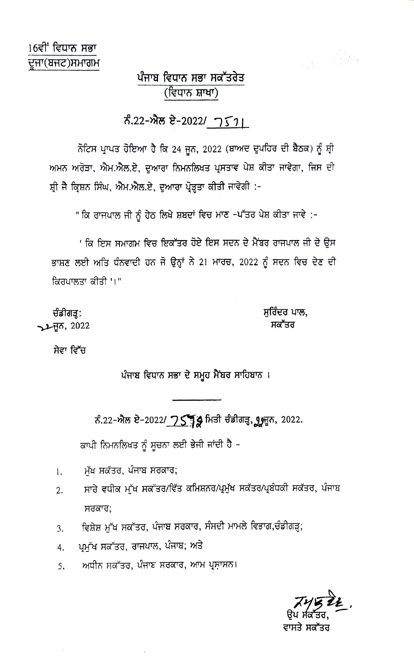## ਪੰਜਾਬ ਵਿਧਾਨ ਸਭਾ ਸਕੱਤਰੇਤ (ਵਿਧਾਨ ਸ਼ਾਖਾ)

## ਨੰ.22-ਐਲ ਏ-2022/ 751

ਨੋਟਿਸ ਪ੍ਰਾਪਤ ਹੋਇਆ ਹੈ ਕਿ 24 ਜੂਨ, 2022 (ਬਾਅਦ ਦੁਪਹਿਰ ਦੀ ਬੈਠਕ) ਨੂੰ ਸ਼੍ਰੀ ਅਮਨ ਅਰੋੜਾ, ਐਮ.ਐਲ.ਏ, ਦੁਆਰਾ ਨਿਮਨਲਿਖਤ ਪ੍ਰਸਤਾਵ ਪੇਸ਼ ਕੀਤਾ ਜਾਵੇਗਾ, ਜਿਸ ਦੀ ਸ਼੍ਰੀ ਜੈ ਕ੍ਰਿਸ਼ਨ ਸਿੰਘ, ਐਮ.ਐਲ.ਏ, ਦੁਆਰਾ ਪ੍ਰੋੜ੍ਹਤਾ ਕੀਤੀ ਜਾਵੇਗੀ :-

" ਕਿ ਰਾਜਪਾਲ ਜੀ ਨੂੰ ਹੇਠ ਲਿਖੇ ਸ਼ਬਦਾਂ ਵਿਚ ਮਾਣ -ਪੱਤਰ ਪੇਸ਼ ਕੀਤਾ ਜਾਵੇ :-

' ਕਿ ਇਸ ਸਮਾਗਮ ਵਿਚ ਇਕੱਤਰ ਹੋਏ ਇਸ ਸਦਨ ਦੇ ਮੈਂਬਰ ਰਾਜਪਾਲ ਜੀ ਦੇ ਉਸ ਭਾਸ਼ਣ ਲਈ ਅਤਿ ਧੰਨਵਾਦੀ ਹਨ ਜੋ ਉਨ੍ਹਾਂ ਨੇ 21 ਮਾਰਚ, 2022 ਨੂੰ ਸਦਨ ਵਿਚ ਦੇਣ ਦੀ ਕਿਰਪਾਲਤਾ ਕੀਤੀ '।"

ਚੰਡੀਗੜ੍ਹ: **JLHT, 2022**  ਸੁਰਿੰਦਰ ਪਾਲ, ਸਕੱਤਰ

r et plan

ਸੇਵਾ ਵਿੱਚ

ਪੰਜਾਬ ਵਿਧਾਨ ਸਭਾ ਦੇ ਸਮੂਹ ਮੈਂਬਰ ਸਾਹਿਬਾਨ।

ਨੰ.22-ਐਲ ਏ-2022/ 75 ਡ੍ਰਿ ਮਿਤੀ ਚੰਡੀਗੜ੍ਹ, ਗ੍ਰ੍ਰਸੂਨ, 2022.

ਕਾਪੀ ਨਿਮਨਲਿਖਤ ਨੂੰ ਸੂਚਨਾ ਲਈ ਭੇਜੀ ਜਾਂਦੀ ਹੈ -

- ਮੱਖ ਸਕੱਤਰ, ਪੰਜਾਬ ਸਰਕਾਰ; 1.
- ਸਾਰੇ ਵਧੀਕ ਮੱਖ ਸਕੱਤਰ/ਵਿੱਤ ਕਮਿਸ਼ਨਰ/ਪ੍ਰਮੁੱਖ ਸਕੱਤਰ/ਪ੍ਰਬੰਧਕੀ ਸਕੱਤਰ, ਪੰਜਾਬ  $\overline{2}$ . ਸਰਕਾਰ:
- ਵਿਸ਼ੇਸ਼ ਮੱਖ ਸਕੱਤਰ, ਪੰਜਾਬ ਸਰਕਾਰ, ਸੰਸਦੀ ਮਾਮਲੇ ਵਿਭਾਗ,ਚੰਡੀਗੜ੍ਹ; 3.
- ਪ੍ਰਮੁੱਖ ਸਕੱਤਰ, ਰਾਜਪਾਲ, ਪੰਜਾਬ; ਅਤੇ 4.
- ਅਧੀਨ ਸਕੱਤਰ, ਪੰਜਾਬ ਸਰਕਾਰ, ਆਮ ਪ੍ਰਸ਼ਾਸਨ। 5.

ਵਾਸਤੇ ਸਕੱਤਰ